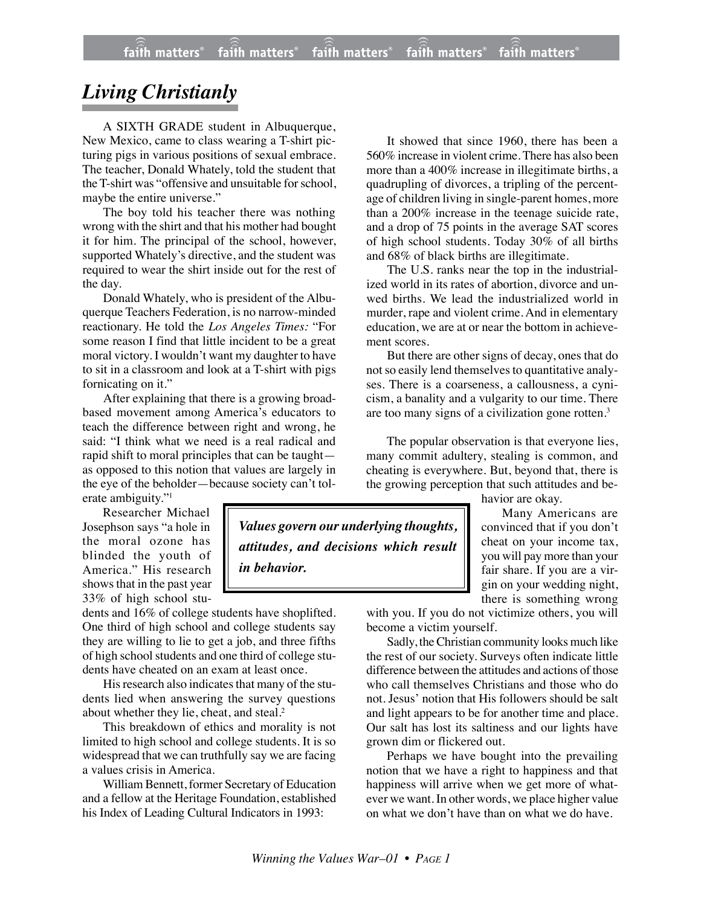# *Living Christianly*

A SIXTH GRADE student in Albuquerque, New Mexico, came to class wearing a T-shirt picturing pigs in various positions of sexual embrace. The teacher, Donald Whately, told the student that the T-shirt was "offensive and unsuitable for school, maybe the entire universe."

The boy told his teacher there was nothing wrong with the shirt and that his mother had bought it for him. The principal of the school, however, supported Whately's directive, and the student was required to wear the shirt inside out for the rest of the day.

Donald Whately, who is president of the Albuquerque Teachers Federation, is no narrow-minded reactionary. He told the *Los Angeles Times:* "For some reason I find that little incident to be a great moral victory. I wouldn't want my daughter to have to sit in a classroom and look at a T-shirt with pigs fornicating on it."

After explaining that there is a growing broadbased movement among America's educators to teach the difference between right and wrong, he said: "I think what we need is a real radical and rapid shift to moral principles that can be taught as opposed to this notion that values are largely in the eye of the beholder—because society can't tolerate ambiguity."1

Researcher Michael Josephson says "a hole in the moral ozone has blinded the youth of America." His research shows that in the past year 33% of high school stu-

dents and 16% of college students have shoplifted. One third of high school and college students say they are willing to lie to get a job, and three fifths of high school students and one third of college students have cheated on an exam at least once.

His research also indicates that many of the students lied when answering the survey questions about whether they lie, cheat, and steal.<sup>2</sup>

This breakdown of ethics and morality is not limited to high school and college students. It is so widespread that we can truthfully say we are facing a values crisis in America.

William Bennett, former Secretary of Education and a fellow at the Heritage Foundation, established his Index of Leading Cultural Indicators in 1993:

It showed that since 1960, there has been a 560% increase in violent crime. There has also been more than a 400% increase in illegitimate births, a quadrupling of divorces, a tripling of the percentage of children living in single-parent homes, more than a 200% increase in the teenage suicide rate, and a drop of 75 points in the average SAT scores of high school students. Today 30% of all births and 68% of black births are illegitimate.

The U.S. ranks near the top in the industrialized world in its rates of abortion, divorce and unwed births. We lead the industrialized world in murder, rape and violent crime. And in elementary education, we are at or near the bottom in achievement scores.

But there are other signs of decay, ones that do not so easily lend themselves to quantitative analyses. There is a coarseness, a callousness, a cynicism, a banality and a vulgarity to our time. There are too many signs of a civilization gone rotten.3

The popular observation is that everyone lies, many commit adultery, stealing is common, and cheating is everywhere. But, beyond that, there is the growing perception that such attitudes and be-

havior are okay.

Many Americans are convinced that if you don't cheat on your income tax, you will pay more than your fair share. If you are a virgin on your wedding night, there is something wrong

*Values govern our underlying thoughts, attitudes, and decisions which result in behavior.*

> with you. If you do not victimize others, you will become a victim yourself.

Sadly, theChristian community looks much like the rest of our society. Surveys often indicate little difference between the attitudes and actions of those who call themselves Christians and those who do not. Jesus' notion that His followers should be salt and light appears to be for another time and place. Our salt has lost its saltiness and our lights have grown dim or flickered out.

Perhaps we have bought into the prevailing notion that we have a right to happiness and that happiness will arrive when we get more of whatever we want. In other words, we place higher value on what we don't have than on what we do have.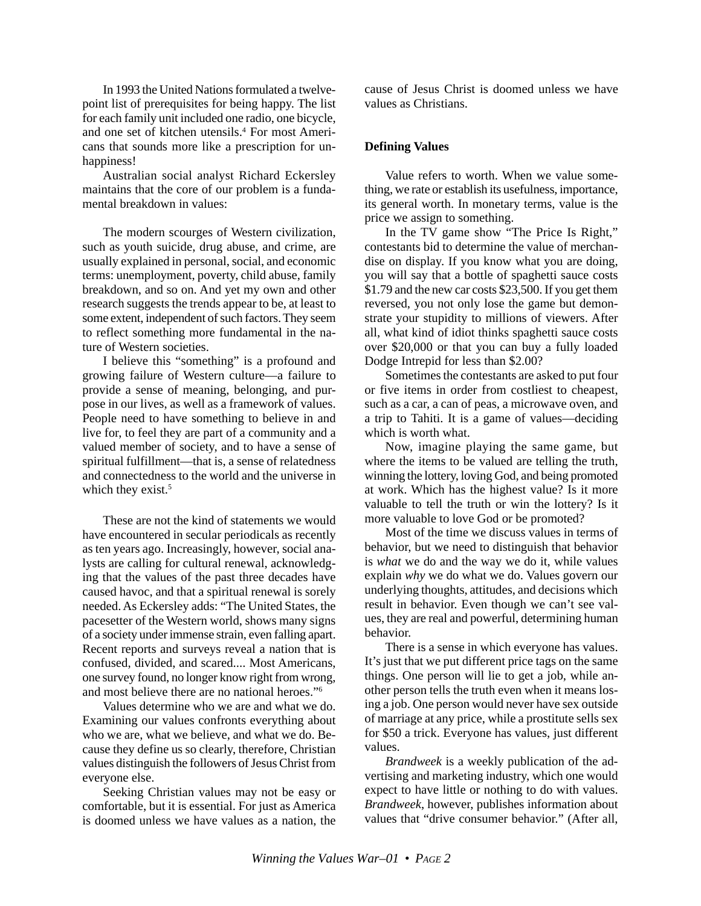In 1993 the United Nations formulated a twelvepoint list of prerequisites for being happy. The list for each family unit included one radio, one bicycle, and one set of kitchen utensils.<sup>4</sup> For most Americans that sounds more like a prescription for unhappiness!

Australian social analyst Richard Eckersley maintains that the core of our problem is a fundamental breakdown in values:

The modern scourges of Western civilization, such as youth suicide, drug abuse, and crime, are usually explained in personal, social, and economic terms: unemployment, poverty, child abuse, family breakdown, and so on. And yet my own and other research suggests the trends appear to be, at least to some extent, independent of such factors. They seem to reflect something more fundamental in the nature of Western societies.

I believe this "something" is a profound and growing failure of Western culture—a failure to provide a sense of meaning, belonging, and purpose in our lives, as well as a framework of values. People need to have something to believe in and live for, to feel they are part of a community and a valued member of society, and to have a sense of spiritual fulfillment—that is, a sense of relatedness and connectedness to the world and the universe in which they exist.<sup>5</sup>

These are not the kind of statements we would have encountered in secular periodicals as recently as ten years ago. Increasingly, however, social analysts are calling for cultural renewal, acknowledging that the values of the past three decades have caused havoc, and that a spiritual renewal is sorely needed. As Eckersley adds: "The United States, the pacesetter of the Western world, shows many signs of a society under immense strain, even falling apart. Recent reports and surveys reveal a nation that is confused, divided, and scared.... Most Americans, one survey found, no longer know right from wrong, and most believe there are no national heroes."6

Values determine who we are and what we do. Examining our values confronts everything about who we are, what we believe, and what we do. Because they define us so clearly, therefore, Christian values distinguish the followers of Jesus Christ from everyone else.

Seeking Christian values may not be easy or comfortable, but it is essential. For just as America is doomed unless we have values as a nation, the cause of Jesus Christ is doomed unless we have values as Christians.

#### **Defining Values**

Value refers to worth. When we value something, we rate or establish its usefulness, importance, its general worth. In monetary terms, value is the price we assign to something.

In the TV game show "The Price Is Right," contestants bid to determine the value of merchandise on display. If you know what you are doing, you will say that a bottle of spaghetti sauce costs \$1.79 and the new car costs \$23,500. If you get them reversed, you not only lose the game but demonstrate your stupidity to millions of viewers. After all, what kind of idiot thinks spaghetti sauce costs over \$20,000 or that you can buy a fully loaded Dodge Intrepid for less than \$2.00?

Sometimes the contestants are asked to put four or five items in order from costliest to cheapest, such as a car, a can of peas, a microwave oven, and a trip to Tahiti. It is a game of values—deciding which is worth what.

Now, imagine playing the same game, but where the items to be valued are telling the truth, winning the lottery, loving God, and being promoted at work. Which has the highest value? Is it more valuable to tell the truth or win the lottery? Is it more valuable to love God or be promoted?

Most of the time we discuss values in terms of behavior, but we need to distinguish that behavior is *what* we do and the way we do it, while values explain *why* we do what we do. Values govern our underlying thoughts, attitudes, and decisions which result in behavior. Even though we can't see values, they are real and powerful, determining human behavior.

There is a sense in which everyone has values. It's just that we put different price tags on the same things. One person will lie to get a job, while another person tells the truth even when it means losing a job. One person would never have sex outside of marriage at any price, while a prostitute sells sex for \$50 a trick. Everyone has values, just different values.

*Brandweek* is a weekly publication of the advertising and marketing industry, which one would expect to have little or nothing to do with values. *Brandweek*, however, publishes information about values that "drive consumer behavior." (After all,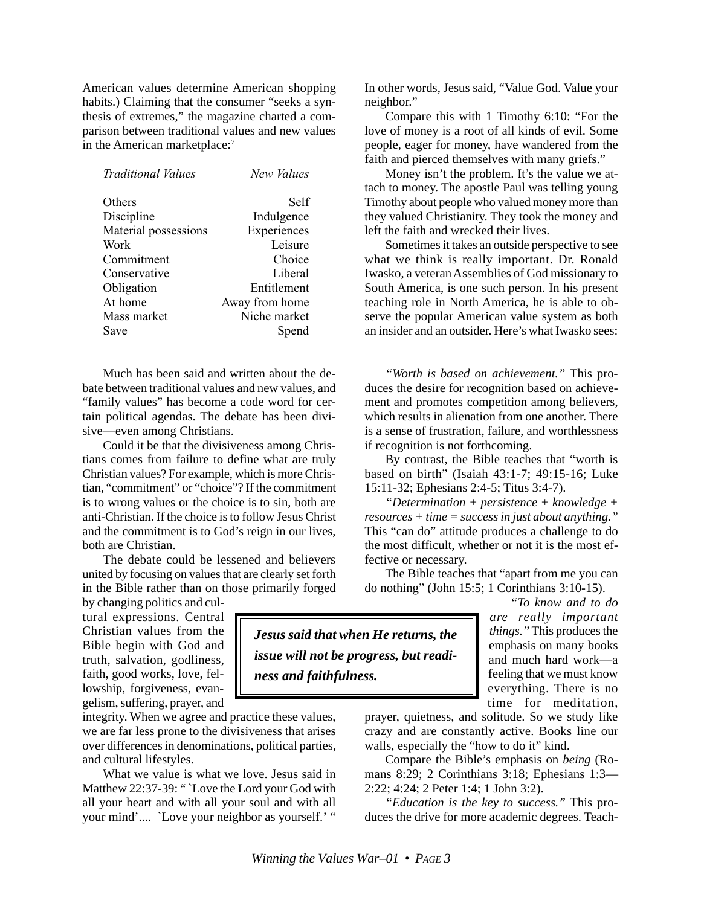American values determine American shopping habits.) Claiming that the consumer "seeks a synthesis of extremes," the magazine charted a comparison between traditional values and new values in the American marketplace:<sup>7</sup>

| <b>Traditional Values</b> | New Values     |
|---------------------------|----------------|
| Others                    | Self           |
| Discipline                | Indulgence     |
| Material possessions      | Experiences    |
| Work                      | Leisure        |
| Commitment                | Choice         |
| Conservative              | Liberal        |
| Obligation                | Entitlement    |
| At home                   | Away from home |
| Mass market               | Niche market   |
| Save                      | Spend          |

Much has been said and written about the debate between traditional values and new values, and "family values" has become a code word for certain political agendas. The debate has been divisive—even among Christians.

Could it be that the divisiveness among Christians comes from failure to define what are truly Christian values? For example, which is more Christian, "commitment" or "choice"? If the commitment is to wrong values or the choice is to sin, both are anti-Christian. If the choice is to follow Jesus Christ and the commitment is to God's reign in our lives, both are Christian.

The debate could be lessened and believers united by focusing on values that are clearly set forth in the Bible rather than on those primarily forged

by changing politics and cultural expressions. Central Christian values from the Bible begin with God and truth, salvation, godliness, faith, good works, love, fellowship, forgiveness, evangelism, suffering, prayer, and

integrity. When we agree and practice these values, we are far less prone to the divisiveness that arises over differences in denominations, political parties, and cultural lifestyles.

What we value is what we love. Jesus said in Matthew 22:37-39: " `Love the Lord your God with all your heart and with all your soul and with all your mind'.... `Love your neighbor as yourself.' "

In other words, Jesus said, "Value God. Value your neighbor."

Compare this with 1 Timothy 6:10: "For the love of money is a root of all kinds of evil. Some people, eager for money, have wandered from the faith and pierced themselves with many griefs."

Money isn't the problem. It's the value we attach to money. The apostle Paul was telling young Timothy about people who valued money more than they valued Christianity. They took the money and left the faith and wrecked their lives.

Sometimes it takes an outside perspective to see what we think is really important. Dr. Ronald Iwasko, a veteran Assemblies of God missionary to South America, is one such person. In his present teaching role in North America, he is able to observe the popular American value system as both an insider and an outsider. Here's what Iwasko sees:

*"Worth is based on achievement."* This produces the desire for recognition based on achievement and promotes competition among believers, which results in alienation from one another. There is a sense of frustration, failure, and worthlessness if recognition is not forthcoming.

By contrast, the Bible teaches that "worth is based on birth" (Isaiah 43:1-7; 49:15-16; Luke 15:11-32; Ephesians 2:4-5; Titus 3:4-7).

*"Determination + persistence + knowledge + resources + time = success in just about anything."* This "can do" attitude produces a challenge to do the most difficult, whether or not it is the most effective or necessary.

The Bible teaches that "apart from me you can do nothing" (John 15:5; 1 Corinthians 3:10-15).

> *"To know and to do are really important things."* This produces the emphasis on many books and much hard work—a feeling that we must know everything. There is no time for meditation,

*Jesus said that when He returns, the issue will not be progress, but readiness and faithfulness.*

> prayer, quietness, and solitude. So we study like crazy and are constantly active. Books line our walls, especially the "how to do it" kind.

> Compare the Bible's emphasis on *being* (Romans 8:29; 2 Corinthians 3:18; Ephesians 1:3— 2:22; 4:24; 2 Peter 1:4; 1 John 3:2).

> *"Education is the key to success."* This produces the drive for more academic degrees. Teach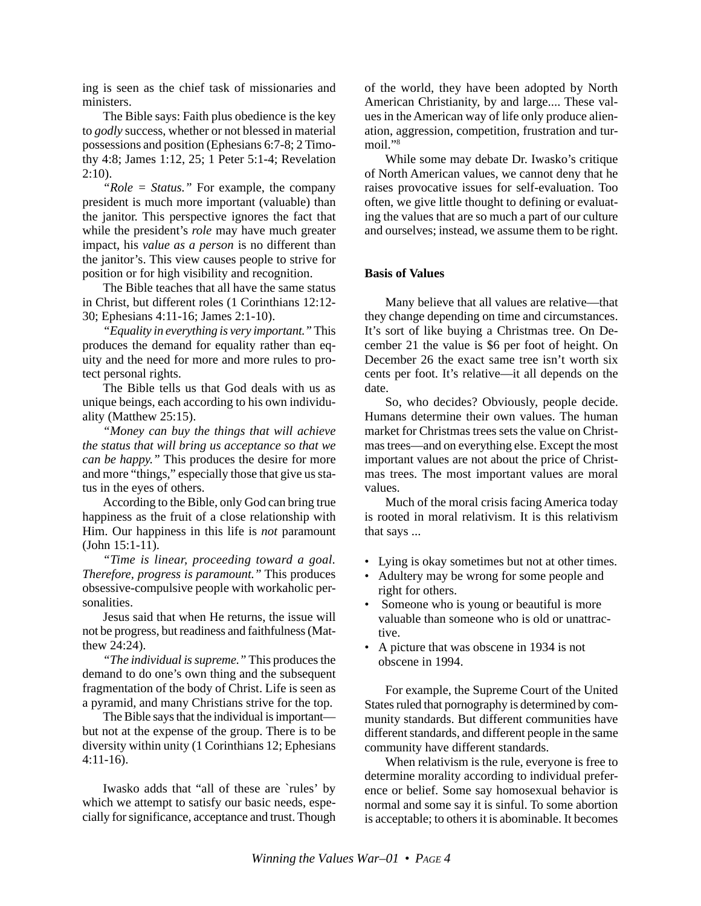ing is seen as the chief task of missionaries and ministers.

The Bible says: Faith plus obedience is the key to *godly* success, whether or not blessed in material possessions and position (Ephesians 6:7-8; 2 Timothy 4:8; James 1:12, 25; 1 Peter 5:1-4; Revelation  $2:10$ ).

*"Role = Status."* For example, the company president is much more important (valuable) than the janitor. This perspective ignores the fact that while the president's *role* may have much greater impact, his *value as a person* is no different than the janitor's. This view causes people to strive for position or for high visibility and recognition.

The Bible teaches that all have the same status in Christ, but different roles (1 Corinthians 12:12- 30; Ephesians 4:11-16; James 2:1-10).

*"Equality in everything is very important."* This produces the demand for equality rather than equity and the need for more and more rules to protect personal rights.

The Bible tells us that God deals with us as unique beings, each according to his own individuality (Matthew 25:15).

*"Money can buy the things that will achieve the status that will bring us acceptance so that we can be happy."* This produces the desire for more and more "things," especially those that give us status in the eyes of others.

According to the Bible, only God can bring true happiness as the fruit of a close relationship with Him. Our happiness in this life is *not* paramount  $(John 15:1-11).$ 

*"Time is linear, proceeding toward a goal. Therefore, progress is paramount."* This produces obsessive-compulsive people with workaholic personalities.

Jesus said that when He returns, the issue will not be progress, but readiness and faithfulness (Matthew 24:24).

*"The individual is supreme."* This produces the demand to do one's own thing and the subsequent fragmentation of the body of Christ. Life is seen as a pyramid, and many Christians strive for the top.

The Bible says that the individual is important but not at the expense of the group. There is to be diversity within unity (1 Corinthians 12; Ephesians 4:11-16).

Iwasko adds that "all of these are `rules' by which we attempt to satisfy our basic needs, especially for significance, acceptance and trust. Though of the world, they have been adopted by North American Christianity, by and large.... These values in the American way of life only produce alienation, aggression, competition, frustration and turmoil."8

While some may debate Dr. Iwasko's critique of North American values, we cannot deny that he raises provocative issues for self-evaluation. Too often, we give little thought to defining or evaluating the values that are so much a part of our culture and ourselves; instead, we assume them to be right.

## **Basis of Values**

Many believe that all values are relative—that they change depending on time and circumstances. It's sort of like buying a Christmas tree. On December 21 the value is \$6 per foot of height. On December 26 the exact same tree isn't worth six cents per foot. It's relative—it all depends on the date.

So, who decides? Obviously, people decide. Humans determine their own values. The human market for Christmas trees sets the value on Christmas trees—and on everything else. Except the most important values are not about the price of Christmas trees. The most important values are moral values.

Much of the moral crisis facing America today is rooted in moral relativism. It is this relativism that says ...

- Lying is okay sometimes but not at other times.
- Adultery may be wrong for some people and right for others.
- Someone who is young or beautiful is more valuable than someone who is old or unattractive.
- A picture that was obscene in 1934 is not obscene in 1994.

For example, the Supreme Court of the United States ruled that pornography is determined by community standards. But different communities have different standards, and different people in the same community have different standards.

When relativism is the rule, everyone is free to determine morality according to individual preference or belief. Some say homosexual behavior is normal and some say it is sinful. To some abortion is acceptable; to others it is abominable. It becomes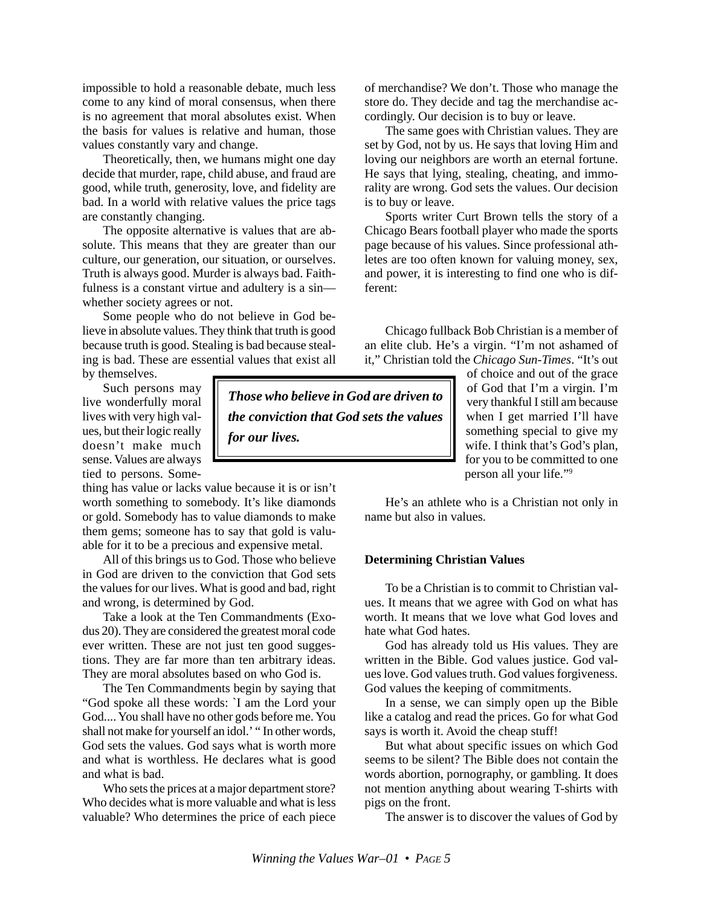impossible to hold a reasonable debate, much less come to any kind of moral consensus, when there is no agreement that moral absolutes exist. When the basis for values is relative and human, those values constantly vary and change.

Theoretically, then, we humans might one day decide that murder, rape, child abuse, and fraud are good, while truth, generosity, love, and fidelity are bad. In a world with relative values the price tags are constantly changing.

The opposite alternative is values that are absolute. This means that they are greater than our culture, our generation, our situation, or ourselves. Truth is always good. Murder is always bad. Faithfulness is a constant virtue and adultery is a sin whether society agrees or not.

Some people who do not believe in God believe in absolute values. They think that truth is good because truth is good. Stealing is bad because stealing is bad. These are essential values that exist all by themselves.

Such persons may live wonderfully moral lives with very high values, but their logic really doesn't make much sense. Values are always tied to persons. Some-

thing has value or lacks value because it is or isn't worth something to somebody. It's like diamonds or gold. Somebody has to value diamonds to make them gems; someone has to say that gold is valuable for it to be a precious and expensive metal.

All of this brings us to God. Those who believe in God are driven to the conviction that God sets the values for our lives. What is good and bad, right and wrong, is determined by God.

Take a look at the Ten Commandments (Exodus 20). They are considered the greatest moral code ever written. These are not just ten good suggestions. They are far more than ten arbitrary ideas. They are moral absolutes based on who God is.

The Ten Commandments begin by saying that "God spoke all these words: `I am the Lord your God.... You shall have no other gods before me. You shall not make for yourself an idol.' " In other words, God sets the values. God says what is worth more and what is worthless. He declares what is good and what is bad.

Who sets the prices at a major department store? Who decides what is more valuable and what is less valuable? Who determines the price of each piece of merchandise? We don't. Those who manage the store do. They decide and tag the merchandise accordingly. Our decision is to buy or leave.

The same goes with Christian values. They are set by God, not by us. He says that loving Him and loving our neighbors are worth an eternal fortune. He says that lying, stealing, cheating, and immorality are wrong. God sets the values. Our decision is to buy or leave.

Sports writer Curt Brown tells the story of a Chicago Bears football player who made the sports page because of his values. Since professional athletes are too often known for valuing money, sex, and power, it is interesting to find one who is different:

Chicago fullback Bob Christian is a member of an elite club. He's a virgin. "I'm not ashamed of it," Christian told the *Chicago Sun-Times*. "It's out

> of choice and out of the grace of God that I'm a virgin. I'm very thankful I still am because when I get married I'll have something special to give my wife. I think that's God's plan, for you to be committed to one person all your life."9

He's an athlete who is a Christian not only in name but also in values.

### **Determining Christian Values**

To be a Christian is to commit to Christian values. It means that we agree with God on what has worth. It means that we love what God loves and hate what God hates.

God has already told us His values. They are written in the Bible. God values justice. God values love. God values truth. God values forgiveness. God values the keeping of commitments.

In a sense, we can simply open up the Bible like a catalog and read the prices. Go for what God says is worth it. Avoid the cheap stuff!

But what about specific issues on which God seems to be silent? The Bible does not contain the words abortion, pornography, or gambling. It does not mention anything about wearing T-shirts with pigs on the front.

The answer is to discover the values of God by

*Those who believe in God are driven to the conviction that God sets the values*

*for our lives.*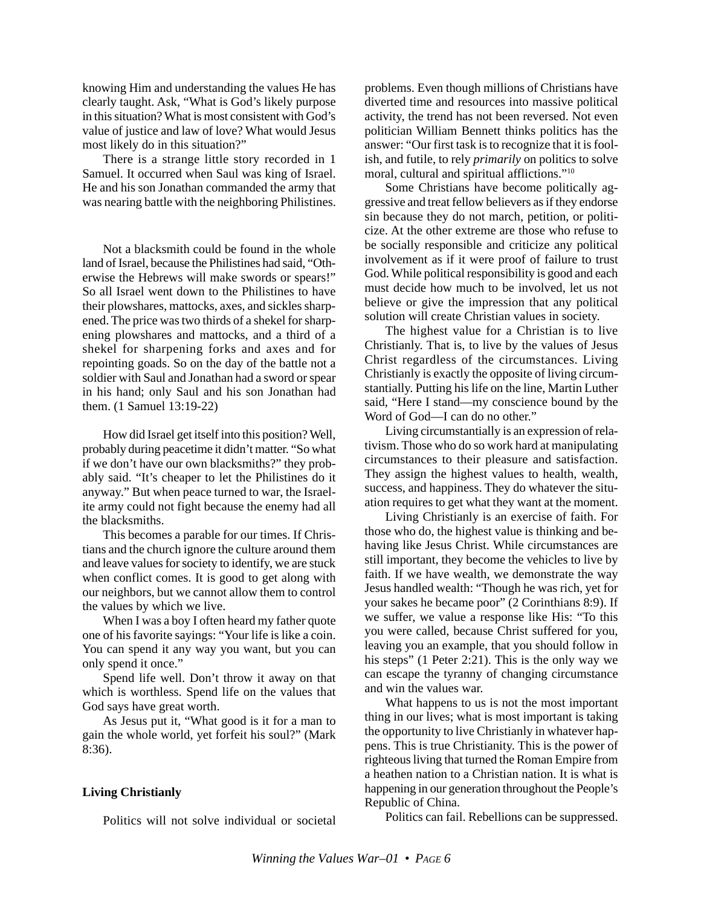knowing Him and understanding the values He has clearly taught. Ask, "What is God's likely purpose in this situation? What is most consistent with God's value of justice and law of love? What would Jesus most likely do in this situation?"

There is a strange little story recorded in 1 Samuel. It occurred when Saul was king of Israel. He and his son Jonathan commanded the army that was nearing battle with the neighboring Philistines.

Not a blacksmith could be found in the whole land of Israel, because the Philistines had said, "Otherwise the Hebrews will make swords or spears!" So all Israel went down to the Philistines to have their plowshares, mattocks, axes, and sickles sharpened. The price was two thirds of a shekel for sharpening plowshares and mattocks, and a third of a shekel for sharpening forks and axes and for repointing goads. So on the day of the battle not a soldier with Saul and Jonathan had a sword or spear in his hand; only Saul and his son Jonathan had them. (1 Samuel 13:19-22)

How did Israel get itself into this position? Well, probably during peacetime it didn't matter. "So what if we don't have our own blacksmiths?" they probably said. "It's cheaper to let the Philistines do it anyway." But when peace turned to war, the Israelite army could not fight because the enemy had all the blacksmiths.

This becomes a parable for our times. If Christians and the church ignore the culture around them and leave values for society to identify, we are stuck when conflict comes. It is good to get along with our neighbors, but we cannot allow them to control the values by which we live.

When I was a boy I often heard my father quote one of his favorite sayings: "Your life is like a coin. You can spend it any way you want, but you can only spend it once."

Spend life well. Don't throw it away on that which is worthless. Spend life on the values that God says have great worth.

As Jesus put it, "What good is it for a man to gain the whole world, yet forfeit his soul?" (Mark 8:36).

#### **Living Christianly**

Politics will not solve individual or societal

problems. Even though millions of Christians have diverted time and resources into massive political activity, the trend has not been reversed. Not even politician William Bennett thinks politics has the answer: "Our first task is to recognize that it is foolish, and futile, to rely *primarily* on politics to solve moral, cultural and spiritual afflictions."10

Some Christians have become politically aggressive and treat fellow believers as if they endorse sin because they do not march, petition, or politicize. At the other extreme are those who refuse to be socially responsible and criticize any political involvement as if it were proof of failure to trust God. While political responsibility is good and each must decide how much to be involved, let us not believe or give the impression that any political solution will create Christian values in society.

The highest value for a Christian is to live Christianly. That is, to live by the values of Jesus Christ regardless of the circumstances. Living Christianly is exactly the opposite of living circumstantially. Putting his life on the line, Martin Luther said, "Here I stand—my conscience bound by the Word of God—I can do no other."

Living circumstantially is an expression of relativism. Those who do so work hard at manipulating circumstances to their pleasure and satisfaction. They assign the highest values to health, wealth, success, and happiness. They do whatever the situation requires to get what they want at the moment.

Living Christianly is an exercise of faith. For those who do, the highest value is thinking and behaving like Jesus Christ. While circumstances are still important, they become the vehicles to live by faith. If we have wealth, we demonstrate the way Jesus handled wealth: "Though he was rich, yet for your sakes he became poor" (2 Corinthians 8:9). If we suffer, we value a response like His: "To this you were called, because Christ suffered for you, leaving you an example, that you should follow in his steps" (1 Peter 2:21). This is the only way we can escape the tyranny of changing circumstance and win the values war.

What happens to us is not the most important thing in our lives; what is most important is taking the opportunity to live Christianly in whatever happens. This is true Christianity. This is the power of righteous living that turned the Roman Empire from a heathen nation to a Christian nation. It is what is happening in our generation throughout the People's Republic of China.

Politics can fail. Rebellions can be suppressed.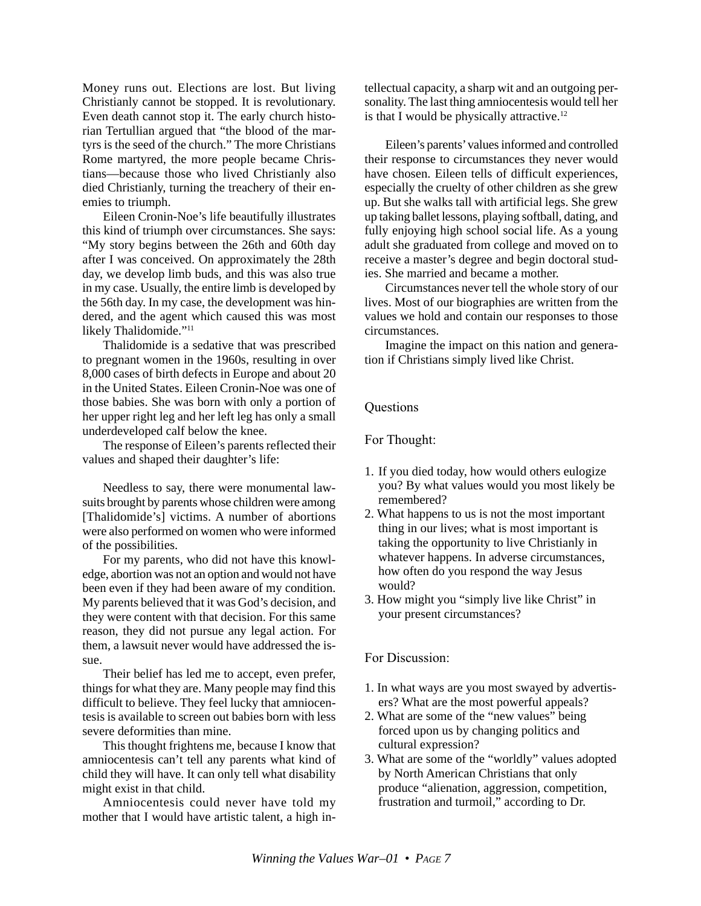Money runs out. Elections are lost. But living Christianly cannot be stopped. It is revolutionary. Even death cannot stop it. The early church historian Tertullian argued that "the blood of the martyrs is the seed of the church." The more Christians Rome martyred, the more people became Christians—because those who lived Christianly also died Christianly, turning the treachery of their enemies to triumph.

Eileen Cronin-Noe's life beautifully illustrates this kind of triumph over circumstances. She says: "My story begins between the 26th and 60th day after I was conceived. On approximately the 28th day, we develop limb buds, and this was also true in my case. Usually, the entire limb is developed by the 56th day. In my case, the development was hindered, and the agent which caused this was most likely Thalidomide."<sup>11</sup>

Thalidomide is a sedative that was prescribed to pregnant women in the 1960s, resulting in over 8,000 cases of birth defects in Europe and about 20 in the United States. Eileen Cronin-Noe was one of those babies. She was born with only a portion of her upper right leg and her left leg has only a small underdeveloped calf below the knee.

The response of Eileen's parents reflected their values and shaped their daughter's life:

Needless to say, there were monumental lawsuits brought by parents whose children were among [Thalidomide's] victims. A number of abortions were also performed on women who were informed of the possibilities.

For my parents, who did not have this knowledge, abortion was not an option and would not have been even if they had been aware of my condition. My parents believed that it was God's decision, and they were content with that decision. For this same reason, they did not pursue any legal action. For them, a lawsuit never would have addressed the issue.

Their belief has led me to accept, even prefer, things for what they are. Many people may find this difficult to believe. They feel lucky that amniocentesis is available to screen out babies born with less severe deformities than mine.

This thought frightens me, because I know that amniocentesis can't tell any parents what kind of child they will have. It can only tell what disability might exist in that child.

Amniocentesis could never have told my mother that I would have artistic talent, a high intellectual capacity, a sharp wit and an outgoing personality. The last thing amniocentesis would tell her is that I would be physically attractive.<sup>12</sup>

Eileen's parents' values informed and controlled their response to circumstances they never would have chosen. Eileen tells of difficult experiences, especially the cruelty of other children as she grew up. But she walks tall with artificial legs. She grew up taking ballet lessons, playing softball, dating, and fully enjoying high school social life. As a young adult she graduated from college and moved on to receive a master's degree and begin doctoral studies. She married and became a mother.

Circumstances never tell the whole story of our lives. Most of our biographies are written from the values we hold and contain our responses to those circumstances.

Imagine the impact on this nation and generation if Christians simply lived like Christ.

## **Questions**

For Thought:

- 1. If you died today, how would others eulogize you? By what values would you most likely be remembered?
- 2. What happens to us is not the most important thing in our lives; what is most important is taking the opportunity to live Christianly in whatever happens. In adverse circumstances, how often do you respond the way Jesus would?
- 3. How might you "simply live like Christ" in your present circumstances?

### For Discussion:

- 1. In what ways are you most swayed by advertisers? What are the most powerful appeals?
- 2. What are some of the "new values" being forced upon us by changing politics and cultural expression?
- 3. What are some of the "worldly" values adopted by North American Christians that only produce "alienation, aggression, competition, frustration and turmoil," according to Dr.